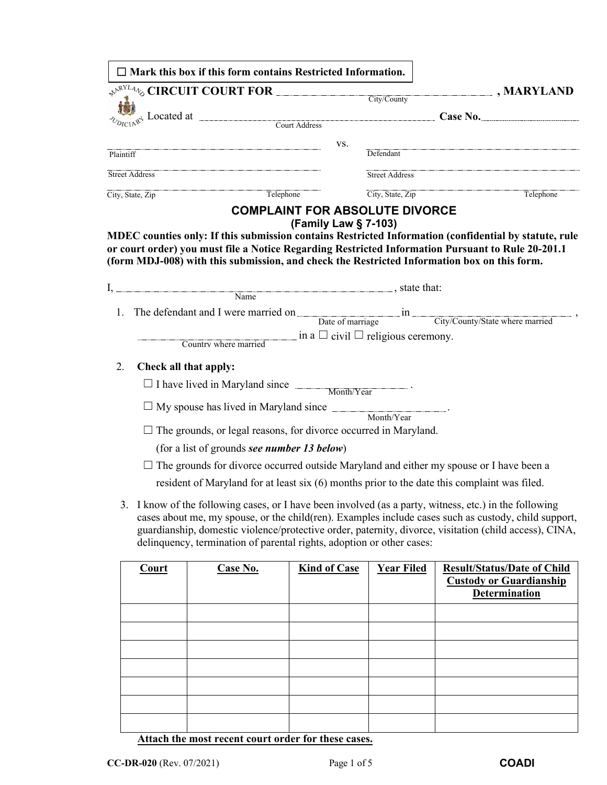| $\overbrace{\downarrow^{\mathbb{R}^{N^L4}\uparrow}\circ}^{\mathbb{R}^{N^L4}\uparrow}\text{CIRCUIT COURT FOR}$ City/County<br>$\frac{d}{d\theta}$ Located at $\frac{1}{\theta}$ Located at $\frac{1}{\theta}$ Court Address <b>Case No.</b><br>VS.<br>Defendant<br>Plaintiff<br>Street Address<br>Street Address<br>Telephone<br>City, State, Zip<br>Telephone<br>City, State, Zip<br><b>COMPLAINT FOR ABSOLUTE DIVORCE</b><br>(Family Law § 7-103)<br>MDEC counties only: If this submission contains Restricted Information (confidential by statute, rule<br>or court order) you must file a Notice Regarding Restricted Information Pursuant to Rule 20-201.1<br>(form MDJ-008) with this submission, and check the Restricted Information box on this form.<br>1. The defendant and I were married on <u>Date of marriage and City/County/State where married</u><br>$\overline{\phantom{a}}$ in a $\Box$ civil $\Box$ religious ceremony.<br>Country where married<br>2.<br>Check all that apply:<br>$\Box$ I have lived in Maryland since $\Box$ Month/Year<br>$\Box$ My spouse has lived in Maryland since $\Box$<br>Month/Year<br>$\Box$ The grounds, or legal reasons, for divorce occurred in Maryland.<br>(for a list of grounds see number 13 below)<br>The grounds for divorce occurred outside Maryland and either my spouse or I have been a<br>resident of Maryland for at least six (6) months prior to the date this complaint was filed.<br>3. I know of the following cases, or I have been involved (as a party, witness, etc.) in the following<br>delinquency, termination of parental rights, adoption or other cases:<br><b>Kind of Case</b><br><b>Year Filed</b><br><b>Case No.</b><br><b>Result/Status/Date of Child</b><br><b>Court</b><br><b>Custody or Guardianship</b><br><b>Determination</b> |  |                                                                                                                                                                                                                | $\Box$ Mark this box if this form contains Restricted Information. |  |  |                              |  |  |
|-------------------------------------------------------------------------------------------------------------------------------------------------------------------------------------------------------------------------------------------------------------------------------------------------------------------------------------------------------------------------------------------------------------------------------------------------------------------------------------------------------------------------------------------------------------------------------------------------------------------------------------------------------------------------------------------------------------------------------------------------------------------------------------------------------------------------------------------------------------------------------------------------------------------------------------------------------------------------------------------------------------------------------------------------------------------------------------------------------------------------------------------------------------------------------------------------------------------------------------------------------------------------------------------------------------------------------------------------------------------------------------------------------------------------------------------------------------------------------------------------------------------------------------------------------------------------------------------------------------------------------------------------------------------------------------------------------------------------------------------------------------------------------------------------------------------------------|--|----------------------------------------------------------------------------------------------------------------------------------------------------------------------------------------------------------------|--------------------------------------------------------------------|--|--|------------------------------|--|--|
|                                                                                                                                                                                                                                                                                                                                                                                                                                                                                                                                                                                                                                                                                                                                                                                                                                                                                                                                                                                                                                                                                                                                                                                                                                                                                                                                                                                                                                                                                                                                                                                                                                                                                                                                                                                                                               |  |                                                                                                                                                                                                                |                                                                    |  |  | $\mathbf{\Sigma}$ , MARYLAND |  |  |
|                                                                                                                                                                                                                                                                                                                                                                                                                                                                                                                                                                                                                                                                                                                                                                                                                                                                                                                                                                                                                                                                                                                                                                                                                                                                                                                                                                                                                                                                                                                                                                                                                                                                                                                                                                                                                               |  |                                                                                                                                                                                                                |                                                                    |  |  |                              |  |  |
|                                                                                                                                                                                                                                                                                                                                                                                                                                                                                                                                                                                                                                                                                                                                                                                                                                                                                                                                                                                                                                                                                                                                                                                                                                                                                                                                                                                                                                                                                                                                                                                                                                                                                                                                                                                                                               |  |                                                                                                                                                                                                                |                                                                    |  |  |                              |  |  |
|                                                                                                                                                                                                                                                                                                                                                                                                                                                                                                                                                                                                                                                                                                                                                                                                                                                                                                                                                                                                                                                                                                                                                                                                                                                                                                                                                                                                                                                                                                                                                                                                                                                                                                                                                                                                                               |  |                                                                                                                                                                                                                |                                                                    |  |  |                              |  |  |
|                                                                                                                                                                                                                                                                                                                                                                                                                                                                                                                                                                                                                                                                                                                                                                                                                                                                                                                                                                                                                                                                                                                                                                                                                                                                                                                                                                                                                                                                                                                                                                                                                                                                                                                                                                                                                               |  |                                                                                                                                                                                                                |                                                                    |  |  |                              |  |  |
|                                                                                                                                                                                                                                                                                                                                                                                                                                                                                                                                                                                                                                                                                                                                                                                                                                                                                                                                                                                                                                                                                                                                                                                                                                                                                                                                                                                                                                                                                                                                                                                                                                                                                                                                                                                                                               |  |                                                                                                                                                                                                                |                                                                    |  |  |                              |  |  |
|                                                                                                                                                                                                                                                                                                                                                                                                                                                                                                                                                                                                                                                                                                                                                                                                                                                                                                                                                                                                                                                                                                                                                                                                                                                                                                                                                                                                                                                                                                                                                                                                                                                                                                                                                                                                                               |  |                                                                                                                                                                                                                |                                                                    |  |  |                              |  |  |
| $I,$ $\frac{1}{Name}$ , state that:                                                                                                                                                                                                                                                                                                                                                                                                                                                                                                                                                                                                                                                                                                                                                                                                                                                                                                                                                                                                                                                                                                                                                                                                                                                                                                                                                                                                                                                                                                                                                                                                                                                                                                                                                                                           |  |                                                                                                                                                                                                                |                                                                    |  |  |                              |  |  |
|                                                                                                                                                                                                                                                                                                                                                                                                                                                                                                                                                                                                                                                                                                                                                                                                                                                                                                                                                                                                                                                                                                                                                                                                                                                                                                                                                                                                                                                                                                                                                                                                                                                                                                                                                                                                                               |  |                                                                                                                                                                                                                |                                                                    |  |  |                              |  |  |
|                                                                                                                                                                                                                                                                                                                                                                                                                                                                                                                                                                                                                                                                                                                                                                                                                                                                                                                                                                                                                                                                                                                                                                                                                                                                                                                                                                                                                                                                                                                                                                                                                                                                                                                                                                                                                               |  |                                                                                                                                                                                                                |                                                                    |  |  |                              |  |  |
|                                                                                                                                                                                                                                                                                                                                                                                                                                                                                                                                                                                                                                                                                                                                                                                                                                                                                                                                                                                                                                                                                                                                                                                                                                                                                                                                                                                                                                                                                                                                                                                                                                                                                                                                                                                                                               |  |                                                                                                                                                                                                                |                                                                    |  |  |                              |  |  |
|                                                                                                                                                                                                                                                                                                                                                                                                                                                                                                                                                                                                                                                                                                                                                                                                                                                                                                                                                                                                                                                                                                                                                                                                                                                                                                                                                                                                                                                                                                                                                                                                                                                                                                                                                                                                                               |  |                                                                                                                                                                                                                |                                                                    |  |  |                              |  |  |
|                                                                                                                                                                                                                                                                                                                                                                                                                                                                                                                                                                                                                                                                                                                                                                                                                                                                                                                                                                                                                                                                                                                                                                                                                                                                                                                                                                                                                                                                                                                                                                                                                                                                                                                                                                                                                               |  |                                                                                                                                                                                                                |                                                                    |  |  |                              |  |  |
|                                                                                                                                                                                                                                                                                                                                                                                                                                                                                                                                                                                                                                                                                                                                                                                                                                                                                                                                                                                                                                                                                                                                                                                                                                                                                                                                                                                                                                                                                                                                                                                                                                                                                                                                                                                                                               |  |                                                                                                                                                                                                                |                                                                    |  |  |                              |  |  |
|                                                                                                                                                                                                                                                                                                                                                                                                                                                                                                                                                                                                                                                                                                                                                                                                                                                                                                                                                                                                                                                                                                                                                                                                                                                                                                                                                                                                                                                                                                                                                                                                                                                                                                                                                                                                                               |  |                                                                                                                                                                                                                |                                                                    |  |  |                              |  |  |
|                                                                                                                                                                                                                                                                                                                                                                                                                                                                                                                                                                                                                                                                                                                                                                                                                                                                                                                                                                                                                                                                                                                                                                                                                                                                                                                                                                                                                                                                                                                                                                                                                                                                                                                                                                                                                               |  |                                                                                                                                                                                                                |                                                                    |  |  |                              |  |  |
|                                                                                                                                                                                                                                                                                                                                                                                                                                                                                                                                                                                                                                                                                                                                                                                                                                                                                                                                                                                                                                                                                                                                                                                                                                                                                                                                                                                                                                                                                                                                                                                                                                                                                                                                                                                                                               |  |                                                                                                                                                                                                                |                                                                    |  |  |                              |  |  |
|                                                                                                                                                                                                                                                                                                                                                                                                                                                                                                                                                                                                                                                                                                                                                                                                                                                                                                                                                                                                                                                                                                                                                                                                                                                                                                                                                                                                                                                                                                                                                                                                                                                                                                                                                                                                                               |  |                                                                                                                                                                                                                |                                                                    |  |  |                              |  |  |
|                                                                                                                                                                                                                                                                                                                                                                                                                                                                                                                                                                                                                                                                                                                                                                                                                                                                                                                                                                                                                                                                                                                                                                                                                                                                                                                                                                                                                                                                                                                                                                                                                                                                                                                                                                                                                               |  |                                                                                                                                                                                                                |                                                                    |  |  |                              |  |  |
|                                                                                                                                                                                                                                                                                                                                                                                                                                                                                                                                                                                                                                                                                                                                                                                                                                                                                                                                                                                                                                                                                                                                                                                                                                                                                                                                                                                                                                                                                                                                                                                                                                                                                                                                                                                                                               |  |                                                                                                                                                                                                                |                                                                    |  |  |                              |  |  |
|                                                                                                                                                                                                                                                                                                                                                                                                                                                                                                                                                                                                                                                                                                                                                                                                                                                                                                                                                                                                                                                                                                                                                                                                                                                                                                                                                                                                                                                                                                                                                                                                                                                                                                                                                                                                                               |  |                                                                                                                                                                                                                |                                                                    |  |  |                              |  |  |
|                                                                                                                                                                                                                                                                                                                                                                                                                                                                                                                                                                                                                                                                                                                                                                                                                                                                                                                                                                                                                                                                                                                                                                                                                                                                                                                                                                                                                                                                                                                                                                                                                                                                                                                                                                                                                               |  | cases about me, my spouse, or the child(ren). Examples include cases such as custody, child support,<br>guardianship, domestic violence/protective order, paternity, divorce, visitation (child access), CINA, |                                                                    |  |  |                              |  |  |
|                                                                                                                                                                                                                                                                                                                                                                                                                                                                                                                                                                                                                                                                                                                                                                                                                                                                                                                                                                                                                                                                                                                                                                                                                                                                                                                                                                                                                                                                                                                                                                                                                                                                                                                                                                                                                               |  |                                                                                                                                                                                                                |                                                                    |  |  |                              |  |  |
|                                                                                                                                                                                                                                                                                                                                                                                                                                                                                                                                                                                                                                                                                                                                                                                                                                                                                                                                                                                                                                                                                                                                                                                                                                                                                                                                                                                                                                                                                                                                                                                                                                                                                                                                                                                                                               |  |                                                                                                                                                                                                                |                                                                    |  |  |                              |  |  |

**Attach the most recent court order for these cases.**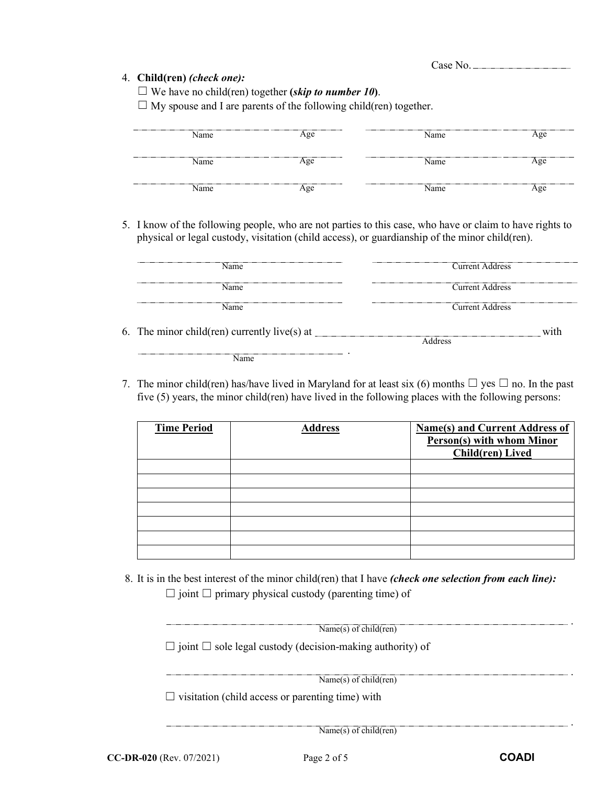## 4. **Child(ren)** *(check one):*

 $\Box$  We have no child(ren) together (*skip to number 10*).

 $\Box$  My spouse and I are parents of the following child(ren) together.

| Name | Age       | Name |                     |
|------|-----------|------|---------------------|
|      |           | Name |                     |
| Name | $\chi$ ee |      | $\alpha$ $\alpha$   |
|      |           |      | ------------------- |
| Name |           | Name |                     |

5. I know of the following people, who are not parties to this case, who have or claim to have rights to physical or legal custody, visitation (child access), or guardianship of the minor child(ren).

| Name                                         | <b>Current Address</b> |
|----------------------------------------------|------------------------|
| Name                                         | <b>Current Address</b> |
| Name                                         | <b>Current Address</b> |
| 6. The minor child(ren) currently live(s) at | with                   |
| Name                                         | Address                |

7. The minor child(ren) has/have lived in Maryland for at least six (6) months  $\Box$  yes  $\Box$  no. In the past five (5) years, the minor child(ren) have lived in the following places with the following persons:

| <b>Time Period</b> | <b>Address</b> | <b>Name(s) and Current Address of</b><br><b>Person(s) with whom Minor</b><br><b>Child(ren)</b> Lived |
|--------------------|----------------|------------------------------------------------------------------------------------------------------|
|                    |                |                                                                                                      |
|                    |                |                                                                                                      |
|                    |                |                                                                                                      |
|                    |                |                                                                                                      |
|                    |                |                                                                                                      |
|                    |                |                                                                                                      |
|                    |                |                                                                                                      |

8. It is in the best interest of the minor child(ren) that I have *(check one selection from each line):*

 $\Box$  joint  $\Box$  primary physical custody (parenting time) of

| Name(s) of child(ren)                                                 |  |  |
|-----------------------------------------------------------------------|--|--|
| $\Box$ joint $\Box$ sole legal custody (decision-making authority) of |  |  |
| Name(s) of child(ren)                                                 |  |  |
| $\Box$ visitation (child access or parenting time) with               |  |  |

Name(s) of child(ren)

.

.

.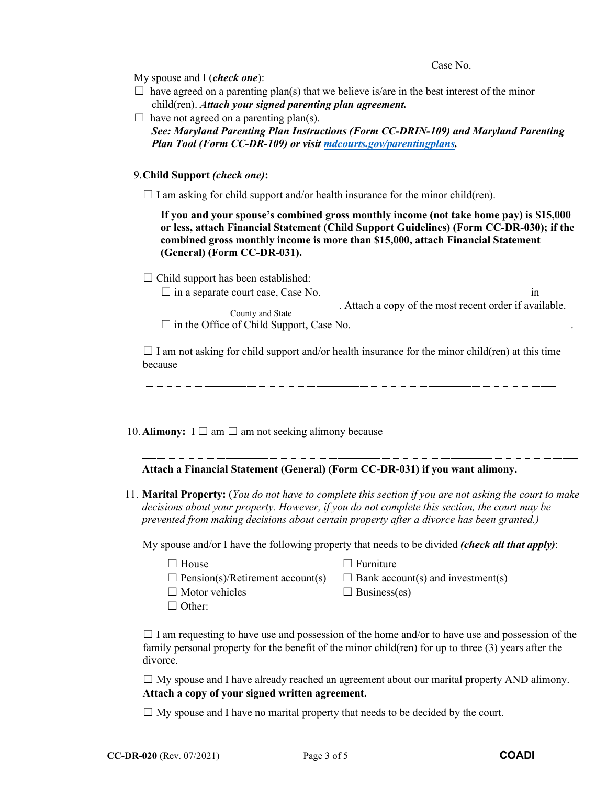My spouse and I (*check one*):

- $\Box$  have agreed on a parenting plan(s) that we believe is/are in the best interest of the minor child(ren). *Attach your signed parenting plan agreement.*
- $\Box$  have not agreed on a parenting plan(s). *See: Maryland Parenting Plan Instructions (Form CC-DRIN-109) and Maryland Parenting Plan Tool (Form CC-DR-109) or visit [mdcourts.gov/parentingplans.](https://mdcourts.gov/family/parentingplans)*

9. **Child Support** *(check one)***:**

 $\Box$  I am asking for child support and/or health insurance for the minor child(ren).

**If you and your spouse's combined gross monthly income (not take home pay) is \$15,000 or less, attach Financial Statement (Child Support Guidelines) (Form CC-DR-030); if the combined gross monthly income is more than \$15,000, attach Financial Statement (General) (Form CC-DR-031).**

 $\Box$  Child support has been established:

 $\Box$  in a separate court case, Case No.  $\Box$  in  $\Box$ . Attach a copy of the most recent order if available. County and State

 $\Box$  in the Office of Child Support, Case No.

 $\Box$  I am not asking for child support and/or health insurance for the minor child(ren) at this time because

10. **Alimony:**  $I \square$  am  $\square$  am not seeking alimony because

## **Attach a Financial Statement (General) (Form CC-DR-031) if you want alimony.**

11. **Marital Property:** (*You do not have to complete this section if you are not asking the court to make decisions about your property. However, if you do not complete this section, the court may be prevented from making decisions about certain property after a divorce has been granted.)*

My spouse and/or I have the following property that needs to be divided *(check all that apply)*:

| $\Box$ House                            | $\Box$ Furniture                         |
|-----------------------------------------|------------------------------------------|
| $\Box$ Pension(s)/Retirement account(s) | $\Box$ Bank account(s) and investment(s) |
| $\Box$ Motor vehicles                   | $\Box$ Business(es)                      |
| $\Box$ Other:                           |                                          |

 $\Box$  I am requesting to have use and possession of the home and/or to have use and possession of the family personal property for the benefit of the minor child(ren) for up to three (3) years after the divorce.

 $\Box$  My spouse and I have already reached an agreement about our marital property AND alimony. **Attach a copy of your signed written agreement.**

 $\Box$  My spouse and I have no marital property that needs to be decided by the court.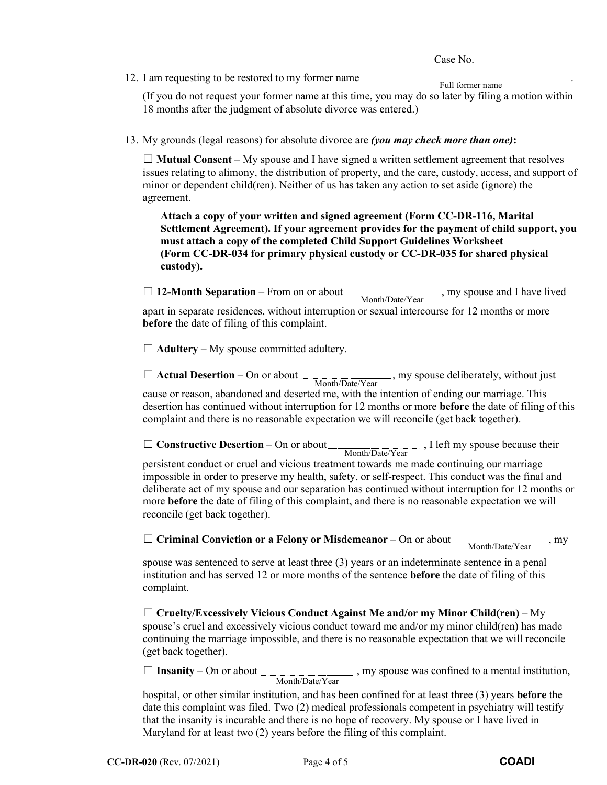12. I am requesting to be restored to my former name .

(If you do not request your former name at this time, you may do so later by filing a motion within 18 months after the judgment of absolute divorce was entered.) Full former name

13. My grounds (legal reasons) for absolute divorce are *(you may check more than one)***:**

 $\Box$  **Mutual Consent** – My spouse and I have signed a written settlement agreement that resolves issues relating to alimony, the distribution of property, and the care, custody, access, and support of minor or dependent child(ren). Neither of us has taken any action to set aside (ignore) the agreement.

**Attach a copy of your written and signed agreement (Form CC-DR-116, Marital Settlement Agreement). If your agreement provides for the payment of child support, you must attach a copy of the completed Child Support Guidelines Worksheet (Form CC-DR-034 for primary physical custody or CC-DR-035 for shared physical custody).**

□ 12-Month Separation – From on or about <u>entitled</u>, my spouse and I have lived apart in separate residences, without interruption or sexual intercourse for 12 months or more **before** the date of filing of this complaint. Month/Date/Year

 $\Box$  **Adultery** – My spouse committed adultery.

 $\Box$  **Actual Desertion** – On or about  $\frac{\text{Month/Date/Year}}{\text{Month/Date/Year}}$ , my spouse deliberately, without just cause or reason, abandoned and deserted me, with the intention of ending our marriage. This desertion has continued without interruption for 12 months or more **before** the date of filing of this complaint and there is no reasonable expectation we will reconcile (get back together).

□ **Constructive Desertion** – On or about <u>Month/Date/Year</u>, I left my spouse because their

persistent conduct or cruel and vicious treatment towards me made continuing our marriage impossible in order to preserve my health, safety, or self-respect. This conduct was the final and deliberate act of my spouse and our separation has continued without interruption for 12 months or more **before** the date of filing of this complaint, and there is no reasonable expectation we will reconcile (get back together).

□ **Criminal Conviction or a Felony or Misdemeanor** – On or about <u>Month/Date/Year</u>, my

spouse was sentenced to serve at least three (3) years or an indeterminate sentence in a penal institution and has served 12 or more months of the sentence **before** the date of filing of this complaint.

☐ **Cruelty/Excessively Vicious Conduct Against Me and/or my Minor Child(ren)** – My spouse's cruel and excessively vicious conduct toward me and/or my minor child(ren) has made continuing the marriage impossible, and there is no reasonable expectation that we will reconcile (get back together).

□ **Insanity** – On or about \_\_\_\_\_\_\_\_\_\_\_\_\_\_\_\_\_\_\_\_\_\_, my spouse was confined to a mental institution, Month/Date/Year

hospital, or other similar institution, and has been confined for at least three (3) years **before** the date this complaint was filed. Two (2) medical professionals competent in psychiatry will testify that the insanity is incurable and there is no hope of recovery. My spouse or I have lived in Maryland for at least two (2) years before the filing of this complaint.